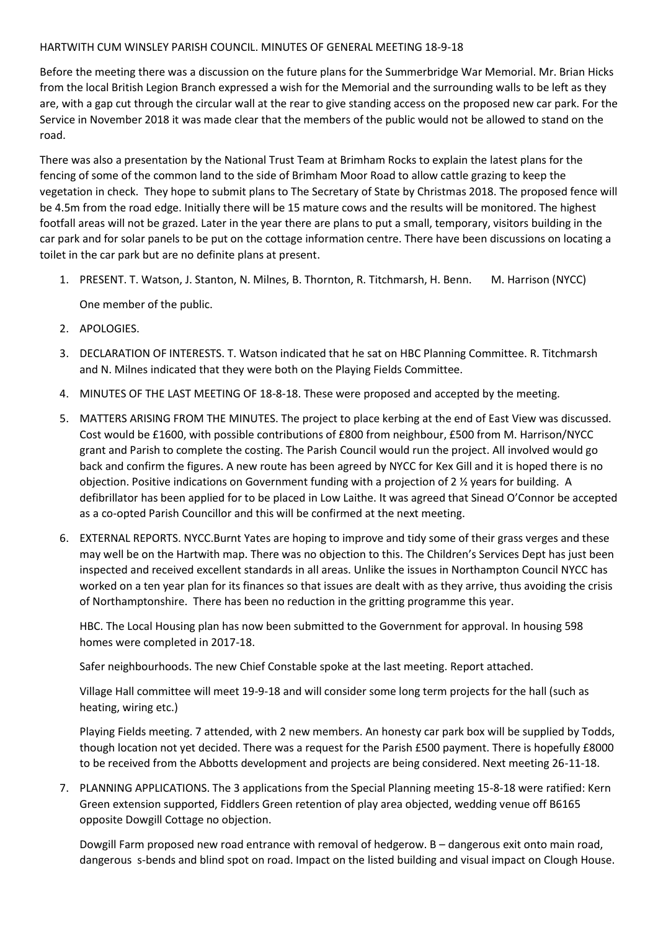## HARTWITH CUM WINSLEY PARISH COUNCIL. MINUTES OF GENERAL MEETING 18-9-18

Before the meeting there was a discussion on the future plans for the Summerbridge War Memorial. Mr. Brian Hicks from the local British Legion Branch expressed a wish for the Memorial and the surrounding walls to be left as they are, with a gap cut through the circular wall at the rear to give standing access on the proposed new car park. For the Service in November 2018 it was made clear that the members of the public would not be allowed to stand on the road.

There was also a presentation by the National Trust Team at Brimham Rocks to explain the latest plans for the fencing of some of the common land to the side of Brimham Moor Road to allow cattle grazing to keep the vegetation in check. They hope to submit plans to The Secretary of State by Christmas 2018. The proposed fence will be 4.5m from the road edge. Initially there will be 15 mature cows and the results will be monitored. The highest footfall areas will not be grazed. Later in the year there are plans to put a small, temporary, visitors building in the car park and for solar panels to be put on the cottage information centre. There have been discussions on locating a toilet in the car park but are no definite plans at present.

- 1. PRESENT. T. Watson, J. Stanton, N. Milnes, B. Thornton, R. Titchmarsh, H. Benn. M. Harrison (NYCC) One member of the public.
- 2. APOLOGIES.
- 3. DECLARATION OF INTERESTS. T. Watson indicated that he sat on HBC Planning Committee. R. Titchmarsh and N. Milnes indicated that they were both on the Playing Fields Committee.
- 4. MINUTES OF THE LAST MEETING OF 18-8-18. These were proposed and accepted by the meeting.
- 5. MATTERS ARISING FROM THE MINUTES. The project to place kerbing at the end of East View was discussed. Cost would be £1600, with possible contributions of £800 from neighbour, £500 from M. Harrison/NYCC grant and Parish to complete the costing. The Parish Council would run the project. All involved would go back and confirm the figures. A new route has been agreed by NYCC for Kex Gill and it is hoped there is no objection. Positive indications on Government funding with a projection of 2 ½ years for building. A defibrillator has been applied for to be placed in Low Laithe. It was agreed that Sinead O'Connor be accepted as a co-opted Parish Councillor and this will be confirmed at the next meeting.
- 6. EXTERNAL REPORTS. NYCC.Burnt Yates are hoping to improve and tidy some of their grass verges and these may well be on the Hartwith map. There was no objection to this. The Children's Services Dept has just been inspected and received excellent standards in all areas. Unlike the issues in Northampton Council NYCC has worked on a ten year plan for its finances so that issues are dealt with as they arrive, thus avoiding the crisis of Northamptonshire. There has been no reduction in the gritting programme this year.

HBC. The Local Housing plan has now been submitted to the Government for approval. In housing 598 homes were completed in 2017-18.

Safer neighbourhoods. The new Chief Constable spoke at the last meeting. Report attached.

Village Hall committee will meet 19-9-18 and will consider some long term projects for the hall (such as heating, wiring etc.)

Playing Fields meeting. 7 attended, with 2 new members. An honesty car park box will be supplied by Todds, though location not yet decided. There was a request for the Parish £500 payment. There is hopefully £8000 to be received from the Abbotts development and projects are being considered. Next meeting 26-11-18.

7. PLANNING APPLICATIONS. The 3 applications from the Special Planning meeting 15-8-18 were ratified: Kern Green extension supported, Fiddlers Green retention of play area objected, wedding venue off B6165 opposite Dowgill Cottage no objection.

Dowgill Farm proposed new road entrance with removal of hedgerow. B – dangerous exit onto main road, dangerous s-bends and blind spot on road. Impact on the listed building and visual impact on Clough House.